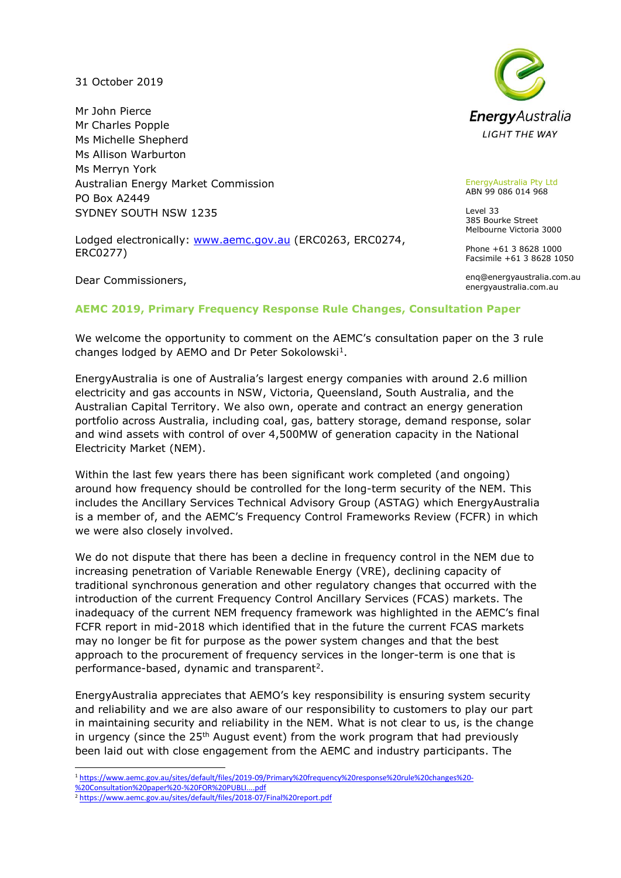31 October 2019

Mr John Pierce Mr Charles Popple Ms Michelle Shepherd Ms Allison Warburton Ms Merryn York Australian Energy Market Commission PO Box A2449 SYDNEY SOUTH NSW 1235

Lodged electronically: [www.aemc.gov.au](http://www.aemc.gov.au/) (ERC0263, ERC0274, ERC0277)

Dear Commissioners,



EnergyAustralia Pty Ltd ABN 99 086 014 968

Level 33 385 Bourke Street Melbourne Victoria 3000

Phone +61 3 8628 1000 Facsimile +61 3 8628 1050

enq@energyaustralia.com.au energyaustralia.com.au

#### **AEMC 2019, Primary Frequency Response Rule Changes, Consultation Paper**

We welcome the opportunity to comment on the AEMC's consultation paper on the 3 rule changes lodged by AEMO and Dr Peter Sokolowski<sup>1</sup>.

EnergyAustralia is one of Australia's largest energy companies with around 2.6 million electricity and gas accounts in NSW, Victoria, Queensland, South Australia, and the Australian Capital Territory. We also own, operate and contract an energy generation portfolio across Australia, including coal, gas, battery storage, demand response, solar and wind assets with control of over 4,500MW of generation capacity in the National Electricity Market (NEM).

Within the last few years there has been significant work completed (and ongoing) around how frequency should be controlled for the long-term security of the NEM. This includes the Ancillary Services Technical Advisory Group (ASTAG) which EnergyAustralia is a member of, and the AEMC's Frequency Control Frameworks Review (FCFR) in which we were also closely involved.

We do not dispute that there has been a decline in frequency control in the NEM due to increasing penetration of Variable Renewable Energy (VRE), declining capacity of traditional synchronous generation and other regulatory changes that occurred with the introduction of the current Frequency Control Ancillary Services (FCAS) markets. The inadequacy of the current NEM frequency framework was highlighted in the AEMC's final FCFR report in mid-2018 which identified that in the future the current FCAS markets may no longer be fit for purpose as the power system changes and that the best approach to the procurement of frequency services in the longer-term is one that is performance-based, dynamic and transparent<sup>2</sup>.

EnergyAustralia appreciates that AEMO's key responsibility is ensuring system security and reliability and we are also aware of our responsibility to customers to play our part in maintaining security and reliability in the NEM. What is not clear to us, is the change in urgency (since the  $25<sup>th</sup>$  August event) from the work program that had previously been laid out with close engagement from the AEMC and industry participants. The

-<sup>1</sup> [https://www.aemc.gov.au/sites/default/files/2019-09/Primary%20frequency%20response%20rule%20changes%20-](https://www.aemc.gov.au/sites/default/files/2019-09/Primary%20frequency%20response%20rule%20changes%20-%20Consultation%20paper%20-%20FOR%20PUBLI....pdf)

[%20Consultation%20paper%20-%20FOR%20PUBLI....pdf](https://www.aemc.gov.au/sites/default/files/2019-09/Primary%20frequency%20response%20rule%20changes%20-%20Consultation%20paper%20-%20FOR%20PUBLI....pdf)

<sup>2</sup> <https://www.aemc.gov.au/sites/default/files/2018-07/Final%20report.pdf>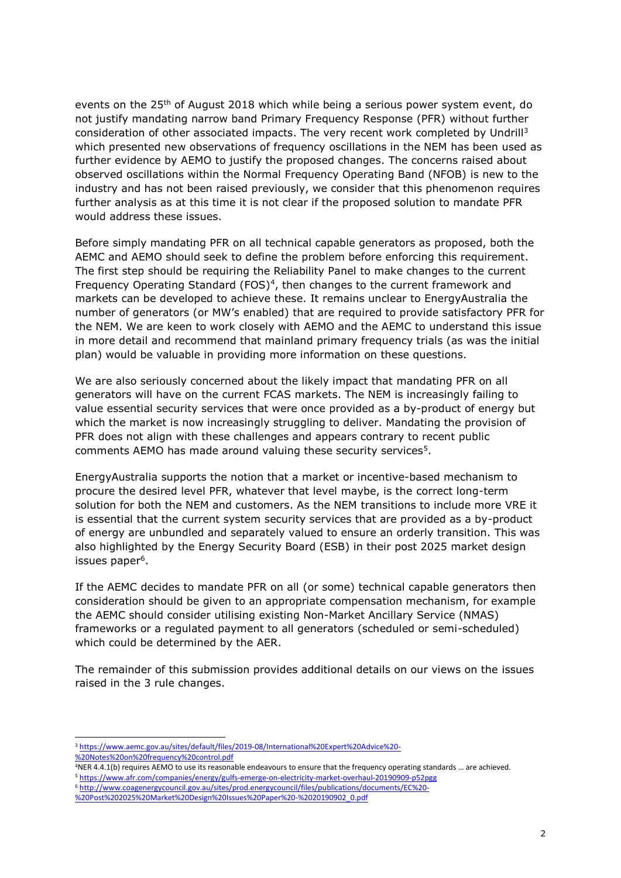events on the 25th of August 2018 which while being a serious power system event, do not justify mandating narrow band Primary Frequency Response (PFR) without further consideration of other associated impacts. The very recent work completed by Undrill<sup>3</sup> which presented new observations of frequency oscillations in the NEM has been used as further evidence by AEMO to justify the proposed changes. The concerns raised about observed oscillations within the Normal Frequency Operating Band (NFOB) is new to the industry and has not been raised previously, we consider that this phenomenon requires further analysis as at this time it is not clear if the proposed solution to mandate PFR would address these issues.

Before simply mandating PFR on all technical capable generators as proposed, both the AEMC and AEMO should seek to define the problem before enforcing this requirement. The first step should be requiring the Reliability Panel to make changes to the current Frequency Operating Standard (FOS)<sup>4</sup>, then changes to the current framework and markets can be developed to achieve these. It remains unclear to EnergyAustralia the number of generators (or MW's enabled) that are required to provide satisfactory PFR for the NEM. We are keen to work closely with AEMO and the AEMC to understand this issue in more detail and recommend that mainland primary frequency trials (as was the initial plan) would be valuable in providing more information on these questions.

We are also seriously concerned about the likely impact that mandating PFR on all generators will have on the current FCAS markets. The NEM is increasingly failing to value essential security services that were once provided as a by-product of energy but which the market is now increasingly struggling to deliver. Mandating the provision of PFR does not align with these challenges and appears contrary to recent public comments AEMO has made around valuing these security services<sup>5</sup>.

EnergyAustralia supports the notion that a market or incentive-based mechanism to procure the desired level PFR, whatever that level maybe, is the correct long-term solution for both the NEM and customers. As the NEM transitions to include more VRE it is essential that the current system security services that are provided as a by-product of energy are unbundled and separately valued to ensure an orderly transition. This was also highlighted by the Energy Security Board (ESB) in their post 2025 market design issues paper<sup>6</sup>.

If the AEMC decides to mandate PFR on all (or some) technical capable generators then consideration should be given to an appropriate compensation mechanism, for example the AEMC should consider utilising existing Non-Market Ancillary Service (NMAS) frameworks or a regulated payment to all generators (scheduled or semi-scheduled) which could be determined by the AER.

The remainder of this submission provides additional details on our views on the issues raised in the 3 rule changes.

<sup>4</sup>NER 4.4.1(b) requires AEMO to use its reasonable endeavours to ensure that the frequency operating standards … are achieved. <sup>5</sup> <https://www.afr.com/companies/energy/gulfs-emerge-on-electricity-market-overhaul-20190909-p52pgg>

<sup>6</sup> [http://www.coagenergycouncil.gov.au/sites/prod.energycouncil/files/publications/documents/EC%20-](http://www.coagenergycouncil.gov.au/sites/prod.energycouncil/files/publications/documents/EC%20-%20Post%202025%20Market%20Design%20Issues%20Paper%20-%2020190902_0.pdf)

[%20Post%202025%20Market%20Design%20Issues%20Paper%20-%2020190902\\_0.pdf](http://www.coagenergycouncil.gov.au/sites/prod.energycouncil/files/publications/documents/EC%20-%20Post%202025%20Market%20Design%20Issues%20Paper%20-%2020190902_0.pdf)

-

<sup>3</sup> [https://www.aemc.gov.au/sites/default/files/2019-08/International%20Expert%20Advice%20-](https://www.aemc.gov.au/sites/default/files/2019-08/International%20Expert%20Advice%20-%20Notes%20on%20frequency%20control.pdf) [%20Notes%20on%20frequency%20control.pdf](https://www.aemc.gov.au/sites/default/files/2019-08/International%20Expert%20Advice%20-%20Notes%20on%20frequency%20control.pdf)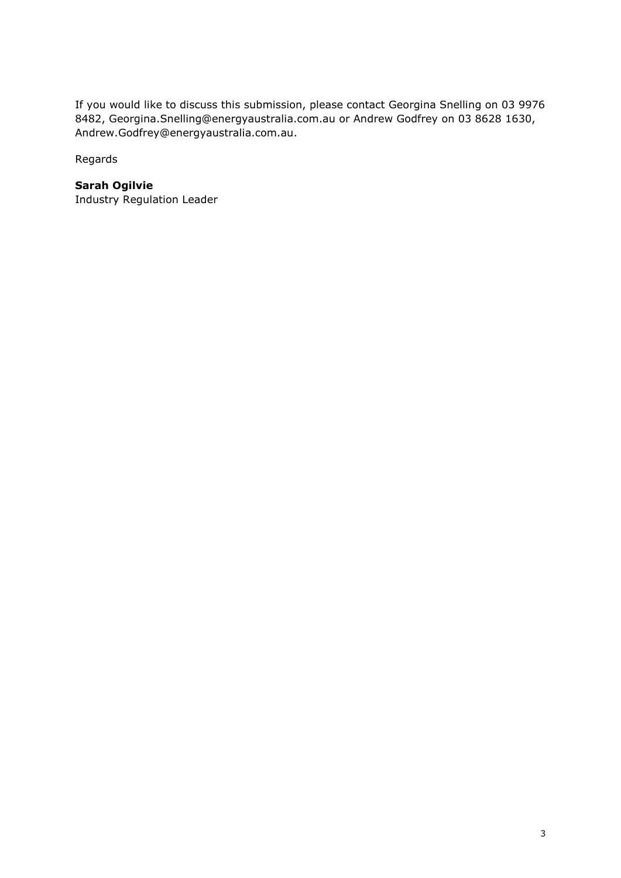If you would like to discuss this submission, please contact Georgina Snelling on 03 9976 8482, Georgina.Snelling@energyaustralia.com.au or Andrew Godfrey on 03 8628 1630, Andrew.Godfrey@energyaustralia.com.au.

Regards

# **Sarah Ogilvie**

Industry Regulation Leader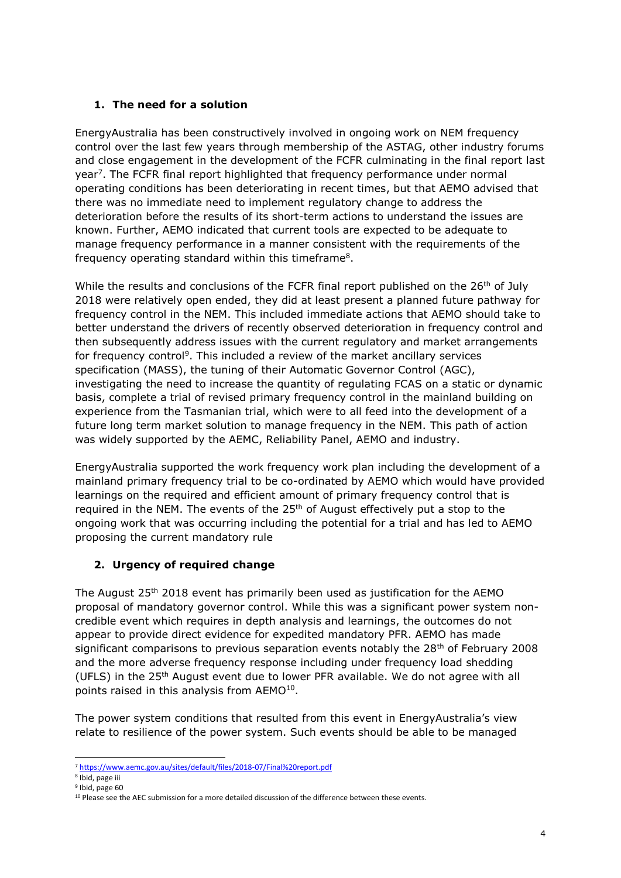## **1. The need for a solution**

EnergyAustralia has been constructively involved in ongoing work on NEM frequency control over the last few years through membership of the ASTAG, other industry forums and close engagement in the development of the FCFR culminating in the final report last year<sup>7</sup>. The FCFR final report highlighted that frequency performance under normal operating conditions has been deteriorating in recent times, but that AEMO advised that there was no immediate need to implement regulatory change to address the deterioration before the results of its short-term actions to understand the issues are known. Further, AEMO indicated that current tools are expected to be adequate to manage frequency performance in a manner consistent with the requirements of the frequency operating standard within this timeframe<sup>8</sup>.

While the results and conclusions of the FCFR final report published on the  $26<sup>th</sup>$  of July 2018 were relatively open ended, they did at least present a planned future pathway for frequency control in the NEM. This included immediate actions that AEMO should take to better understand the drivers of recently observed deterioration in frequency control and then subsequently address issues with the current regulatory and market arrangements for frequency control<sup>9</sup>. This included a review of the market ancillary services specification (MASS), the tuning of their Automatic Governor Control (AGC), investigating the need to increase the quantity of regulating FCAS on a static or dynamic basis, complete a trial of revised primary frequency control in the mainland building on experience from the Tasmanian trial, which were to all feed into the development of a future long term market solution to manage frequency in the NEM. This path of action was widely supported by the AEMC, Reliability Panel, AEMO and industry.

EnergyAustralia supported the work frequency work plan including the development of a mainland primary frequency trial to be co-ordinated by AEMO which would have provided learnings on the required and efficient amount of primary frequency control that is required in the NEM. The events of the  $25<sup>th</sup>$  of August effectively put a stop to the ongoing work that was occurring including the potential for a trial and has led to AEMO proposing the current mandatory rule

# **2. Urgency of required change**

The August 25th 2018 event has primarily been used as justification for the AEMO proposal of mandatory governor control. While this was a significant power system noncredible event which requires in depth analysis and learnings, the outcomes do not appear to provide direct evidence for expedited mandatory PFR. AEMO has made significant comparisons to previous separation events notably the  $28<sup>th</sup>$  of February 2008 and the more adverse frequency response including under frequency load shedding (UFLS) in the  $25<sup>th</sup>$  August event due to lower PFR available. We do not agree with all points raised in this analysis from  $AEMO<sup>10</sup>$ .

The power system conditions that resulted from this event in EnergyAustralia's view relate to resilience of the power system. Such events should be able to be managed

<sup>-</sup><sup>7</sup> <https://www.aemc.gov.au/sites/default/files/2018-07/Final%20report.pdf>

<sup>8</sup> Ibid, page iii

<sup>9</sup> Ibid, page 60

<sup>&</sup>lt;sup>10</sup> Please see the AEC submission for a more detailed discussion of the difference between these events.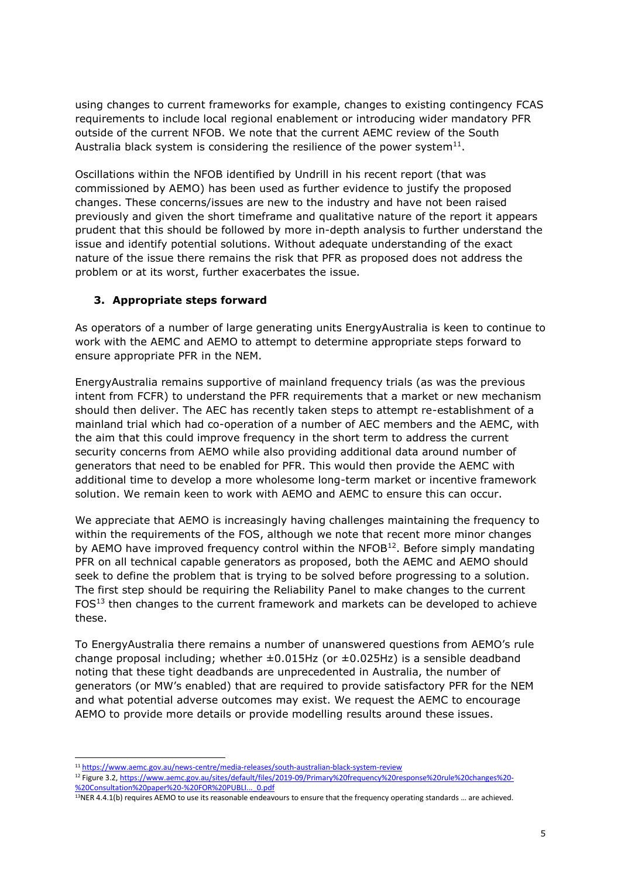using changes to current frameworks for example, changes to existing contingency FCAS requirements to include local regional enablement or introducing wider mandatory PFR outside of the current NFOB. We note that the current AEMC review of the South Australia black system is considering the resilience of the power system $^{11}$ .

Oscillations within the NFOB identified by Undrill in his recent report (that was commissioned by AEMO) has been used as further evidence to justify the proposed changes. These concerns/issues are new to the industry and have not been raised previously and given the short timeframe and qualitative nature of the report it appears prudent that this should be followed by more in-depth analysis to further understand the issue and identify potential solutions. Without adequate understanding of the exact nature of the issue there remains the risk that PFR as proposed does not address the problem or at its worst, further exacerbates the issue.

#### **3. Appropriate steps forward**

As operators of a number of large generating units EnergyAustralia is keen to continue to work with the AEMC and AEMO to attempt to determine appropriate steps forward to ensure appropriate PFR in the NEM.

EnergyAustralia remains supportive of mainland frequency trials (as was the previous intent from FCFR) to understand the PFR requirements that a market or new mechanism should then deliver. The AEC has recently taken steps to attempt re-establishment of a mainland trial which had co-operation of a number of AEC members and the AEMC, with the aim that this could improve frequency in the short term to address the current security concerns from AEMO while also providing additional data around number of generators that need to be enabled for PFR. This would then provide the AEMC with additional time to develop a more wholesome long-term market or incentive framework solution. We remain keen to work with AEMO and AEMC to ensure this can occur.

We appreciate that AEMO is increasingly having challenges maintaining the frequency to within the requirements of the FOS, although we note that recent more minor changes by AEMO have improved frequency control within the NFOB $^{12}$ . Before simply mandating PFR on all technical capable generators as proposed, both the AEMC and AEMO should seek to define the problem that is trying to be solved before progressing to a solution. The first step should be requiring the Reliability Panel to make changes to the current FOS<sup>13</sup> then changes to the current framework and markets can be developed to achieve these.

To EnergyAustralia there remains a number of unanswered questions from AEMO's rule change proposal including; whether  $\pm 0.015$ Hz (or  $\pm 0.025$ Hz) is a sensible deadband noting that these tight deadbands are unprecedented in Australia, the number of generators (or MW's enabled) that are required to provide satisfactory PFR for the NEM and what potential adverse outcomes may exist. We request the AEMC to encourage AEMO to provide more details or provide modelling results around these issues.

-

<sup>11</sup> <https://www.aemc.gov.au/news-centre/media-releases/south-australian-black-system-review>

<sup>12</sup> Figure 3.2[, https://www.aemc.gov.au/sites/default/files/2019-09/Primary%20frequency%20response%20rule%20changes%20-](https://www.aemc.gov.au/sites/default/files/2019-09/Primary%20frequency%20response%20rule%20changes%20-%20Consultation%20paper%20-%20FOR%20PUBLI..._0.pdf) [%20Consultation%20paper%20-%20FOR%20PUBLI...\\_0.pdf](https://www.aemc.gov.au/sites/default/files/2019-09/Primary%20frequency%20response%20rule%20changes%20-%20Consultation%20paper%20-%20FOR%20PUBLI..._0.pdf)

<sup>&</sup>lt;sup>13</sup>NER 4.4.1(b) requires AEMO to use its reasonable endeavours to ensure that the frequency operating standards ... are achieved.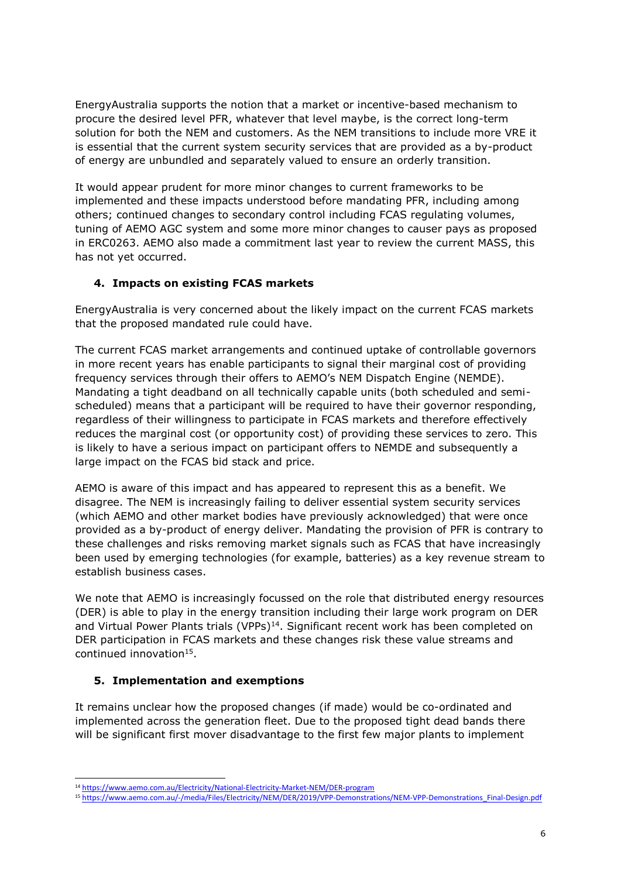EnergyAustralia supports the notion that a market or incentive-based mechanism to procure the desired level PFR, whatever that level maybe, is the correct long-term solution for both the NEM and customers. As the NEM transitions to include more VRE it is essential that the current system security services that are provided as a by-product of energy are unbundled and separately valued to ensure an orderly transition.

It would appear prudent for more minor changes to current frameworks to be implemented and these impacts understood before mandating PFR, including among others; continued changes to secondary control including FCAS regulating volumes, tuning of AEMO AGC system and some more minor changes to causer pays as proposed in ERC0263. AEMO also made a commitment last year to review the current MASS, this has not yet occurred.

## **4. Impacts on existing FCAS markets**

EnergyAustralia is very concerned about the likely impact on the current FCAS markets that the proposed mandated rule could have.

The current FCAS market arrangements and continued uptake of controllable governors in more recent years has enable participants to signal their marginal cost of providing frequency services through their offers to AEMO's NEM Dispatch Engine (NEMDE). Mandating a tight deadband on all technically capable units (both scheduled and semischeduled) means that a participant will be required to have their governor responding, regardless of their willingness to participate in FCAS markets and therefore effectively reduces the marginal cost (or opportunity cost) of providing these services to zero. This is likely to have a serious impact on participant offers to NEMDE and subsequently a large impact on the FCAS bid stack and price.

AEMO is aware of this impact and has appeared to represent this as a benefit. We disagree. The NEM is increasingly failing to deliver essential system security services (which AEMO and other market bodies have previously acknowledged) that were once provided as a by-product of energy deliver. Mandating the provision of PFR is contrary to these challenges and risks removing market signals such as FCAS that have increasingly been used by emerging technologies (for example, batteries) as a key revenue stream to establish business cases.

We note that AEMO is increasingly focussed on the role that distributed energy resources (DER) is able to play in the energy transition including their large work program on DER and Virtual Power Plants trials (VPPs)<sup>14</sup>. Significant recent work has been completed on DER participation in FCAS markets and these changes risk these value streams and continued innovation<sup>15</sup>.

#### **5. Implementation and exemptions**

It remains unclear how the proposed changes (if made) would be co-ordinated and implemented across the generation fleet. Due to the proposed tight dead bands there will be significant first mover disadvantage to the first few major plants to implement

<sup>-</sup><sup>14</sup> <https://www.aemo.com.au/Electricity/National-Electricity-Market-NEM/DER-program>

<sup>15</sup> [https://www.aemo.com.au/-/media/Files/Electricity/NEM/DER/2019/VPP-Demonstrations/NEM-VPP-Demonstrations\\_Final-Design.pdf](https://www.aemo.com.au/-/media/Files/Electricity/NEM/DER/2019/VPP-Demonstrations/NEM-VPP-Demonstrations_Final-Design.pdf)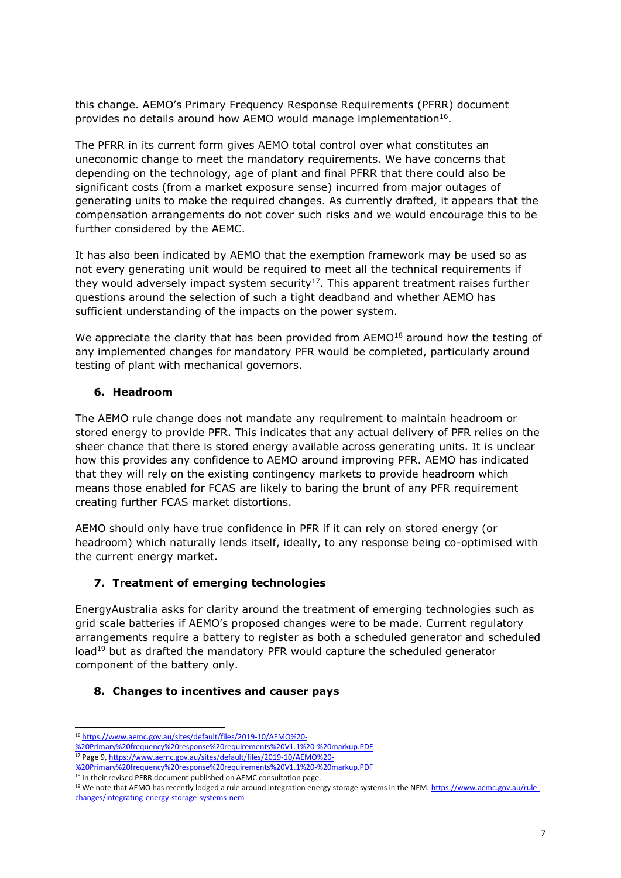this change. AEMO's Primary Frequency Response Requirements (PFRR) document provides no details around how AEMO would manage implementation<sup>16</sup>.

The PFRR in its current form gives AEMO total control over what constitutes an uneconomic change to meet the mandatory requirements. We have concerns that depending on the technology, age of plant and final PFRR that there could also be significant costs (from a market exposure sense) incurred from major outages of generating units to make the required changes. As currently drafted, it appears that the compensation arrangements do not cover such risks and we would encourage this to be further considered by the AEMC.

It has also been indicated by AEMO that the exemption framework may be used so as not every generating unit would be required to meet all the technical requirements if they would adversely impact system security<sup>17</sup>. This apparent treatment raises further questions around the selection of such a tight deadband and whether AEMO has sufficient understanding of the impacts on the power system.

We appreciate the clarity that has been provided from AEMO<sup>18</sup> around how the testing of any implemented changes for mandatory PFR would be completed, particularly around testing of plant with mechanical governors.

## **6. Headroom**

The AEMO rule change does not mandate any requirement to maintain headroom or stored energy to provide PFR. This indicates that any actual delivery of PFR relies on the sheer chance that there is stored energy available across generating units. It is unclear how this provides any confidence to AEMO around improving PFR. AEMO has indicated that they will rely on the existing contingency markets to provide headroom which means those enabled for FCAS are likely to baring the brunt of any PFR requirement creating further FCAS market distortions.

AEMO should only have true confidence in PFR if it can rely on stored energy (or headroom) which naturally lends itself, ideally, to any response being co-optimised with the current energy market.

## **7. Treatment of emerging technologies**

EnergyAustralia asks for clarity around the treatment of emerging technologies such as grid scale batteries if AEMO's proposed changes were to be made. Current regulatory arrangements require a battery to register as both a scheduled generator and scheduled load<sup>19</sup> but as drafted the mandatory PFR would capture the scheduled generator component of the battery only.

#### **8. Changes to incentives and causer pays**

<sup>-</sup><sup>16</sup> [https://www.aemc.gov.au/sites/default/files/2019-10/AEMO%20-](https://www.aemc.gov.au/sites/default/files/2019-10/AEMO%20-%20Primary%20frequency%20response%20requirements%20V1.1%20-%20markup.PDF)

[<sup>%20</sup>Primary%20frequency%20response%20requirements%20V1.1%20-%20markup.PDF](https://www.aemc.gov.au/sites/default/files/2019-10/AEMO%20-%20Primary%20frequency%20response%20requirements%20V1.1%20-%20markup.PDF)

<sup>17</sup> Page 9[, https://www.aemc.gov.au/sites/default/files/2019-10/AEMO%20-](https://www.aemc.gov.au/sites/default/files/2019-10/AEMO%20-%20Primary%20frequency%20response%20requirements%20V1.1%20-%20markup.PDF)

[<sup>%20</sup>Primary%20frequency%20response%20requirements%20V1.1%20-%20markup.PDF](https://www.aemc.gov.au/sites/default/files/2019-10/AEMO%20-%20Primary%20frequency%20response%20requirements%20V1.1%20-%20markup.PDF)

<sup>&</sup>lt;sup>18</sup> In their revised PFRR document published on AEMC consultation page.

<sup>&</sup>lt;sup>19</sup> We note that AEMO has recently lodged a rule around integration energy storage systems in the NEM[. https://www.aemc.gov.au/rule](https://www.aemc.gov.au/rule-changes/integrating-energy-storage-systems-nem)[changes/integrating-energy-storage-systems-nem](https://www.aemc.gov.au/rule-changes/integrating-energy-storage-systems-nem)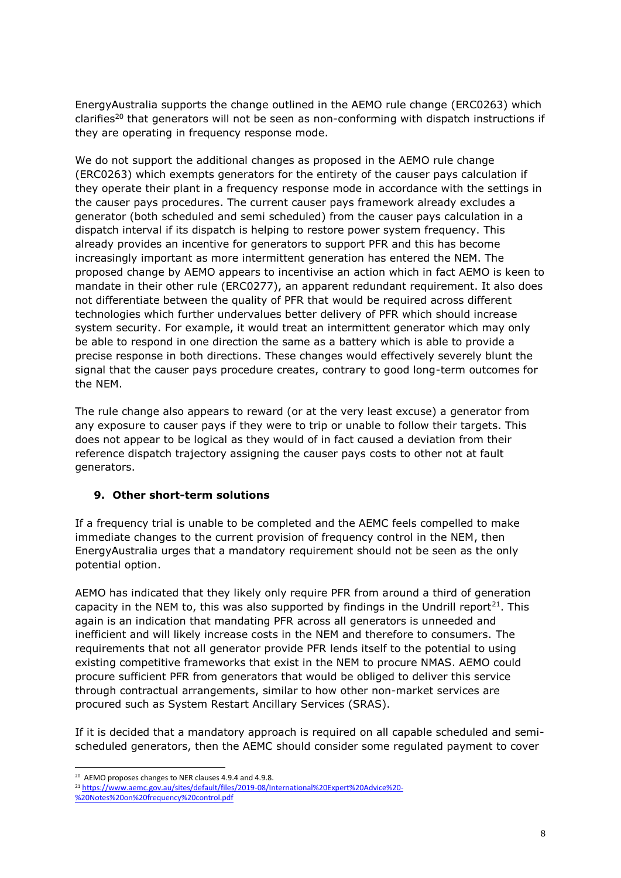EnergyAustralia supports the change outlined in the AEMO rule change (ERC0263) which clarifies<sup>20</sup> that generators will not be seen as non-conforming with dispatch instructions if they are operating in frequency response mode.

We do not support the additional changes as proposed in the AEMO rule change (ERC0263) which exempts generators for the entirety of the causer pays calculation if they operate their plant in a frequency response mode in accordance with the settings in the causer pays procedures. The current causer pays framework already excludes a generator (both scheduled and semi scheduled) from the causer pays calculation in a dispatch interval if its dispatch is helping to restore power system frequency. This already provides an incentive for generators to support PFR and this has become increasingly important as more intermittent generation has entered the NEM. The proposed change by AEMO appears to incentivise an action which in fact AEMO is keen to mandate in their other rule (ERC0277), an apparent redundant requirement. It also does not differentiate between the quality of PFR that would be required across different technologies which further undervalues better delivery of PFR which should increase system security. For example, it would treat an intermittent generator which may only be able to respond in one direction the same as a battery which is able to provide a precise response in both directions. These changes would effectively severely blunt the signal that the causer pays procedure creates, contrary to good long-term outcomes for the NEM.

The rule change also appears to reward (or at the very least excuse) a generator from any exposure to causer pays if they were to trip or unable to follow their targets. This does not appear to be logical as they would of in fact caused a deviation from their reference dispatch trajectory assigning the causer pays costs to other not at fault generators.

## **9. Other short-term solutions**

If a frequency trial is unable to be completed and the AEMC feels compelled to make immediate changes to the current provision of frequency control in the NEM, then EnergyAustralia urges that a mandatory requirement should not be seen as the only potential option.

AEMO has indicated that they likely only require PFR from around a third of generation capacity in the NEM to, this was also supported by findings in the Undrill report<sup>21</sup>. This again is an indication that mandating PFR across all generators is unneeded and inefficient and will likely increase costs in the NEM and therefore to consumers. The requirements that not all generator provide PFR lends itself to the potential to using existing competitive frameworks that exist in the NEM to procure NMAS. AEMO could procure sufficient PFR from generators that would be obliged to deliver this service through contractual arrangements, similar to how other non-market services are procured such as System Restart Ancillary Services (SRAS).

If it is decided that a mandatory approach is required on all capable scheduled and semischeduled generators, then the AEMC should consider some regulated payment to cover

-

<sup>20</sup> AEMO proposes changes to NER clauses 4.9.4 and 4.9.8.

<sup>21</sup> [https://www.aemc.gov.au/sites/default/files/2019-08/International%20Expert%20Advice%20-](https://www.aemc.gov.au/sites/default/files/2019-08/International%20Expert%20Advice%20-%20Notes%20on%20frequency%20control.pdf)

[<sup>%20</sup>Notes%20on%20frequency%20control.pdf](https://www.aemc.gov.au/sites/default/files/2019-08/International%20Expert%20Advice%20-%20Notes%20on%20frequency%20control.pdf)